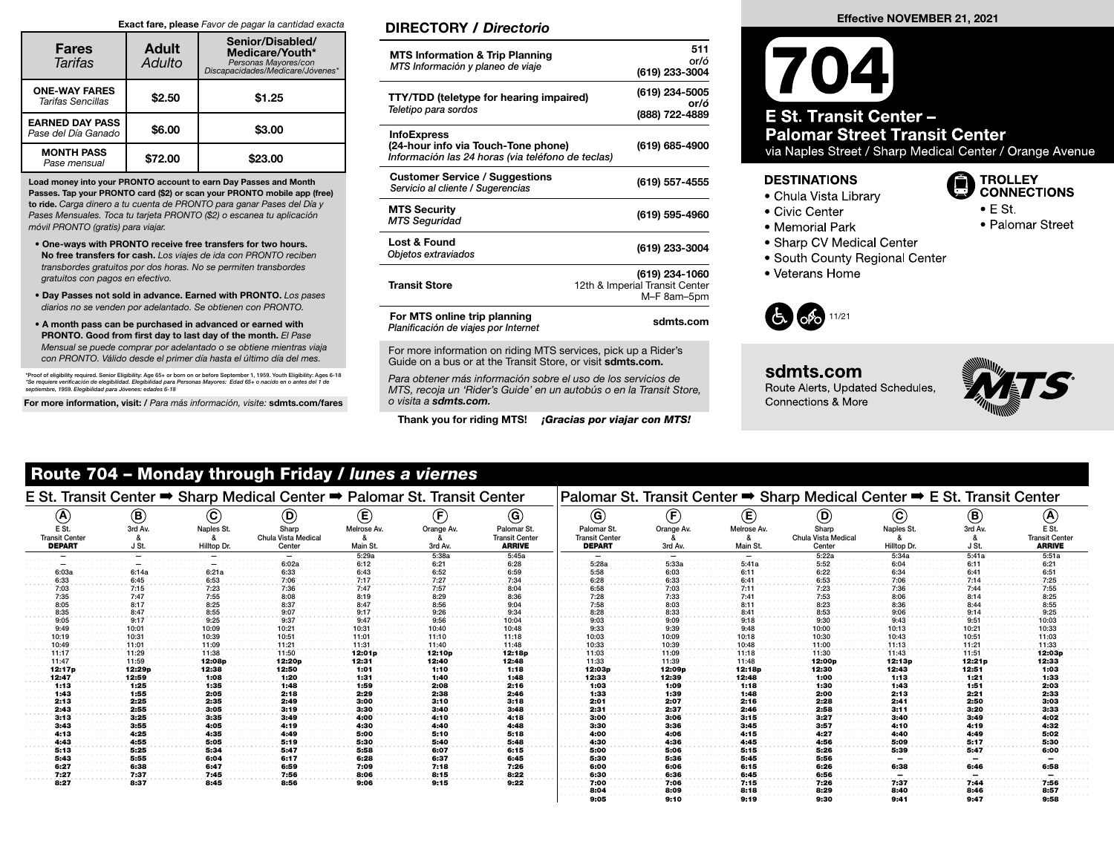#### Exact fare, please Favor de pagar la cantidad exacta

| <b>Fares</b><br>Tarifas                       | <b>Adult</b><br>Adulto | Senior/Disabled/<br>Medicare/Youth*<br>Personas Mayores/con<br>Discapacidades/Medicare/Jóvenes* |
|-----------------------------------------------|------------------------|-------------------------------------------------------------------------------------------------|
| <b>ONE-WAY FARES</b><br>Tarifas Sencillas     | \$2.50                 | \$1.25                                                                                          |
| <b>EARNED DAY PASS</b><br>Pase del Día Ganado | \$6.00                 | \$3.00                                                                                          |
| <b>MONTH PASS</b><br>Pase mensual             | \$72.00                | \$23.00                                                                                         |

Load money into your PRONTO account to earn Day Passes and Month Passes. Tap your PRONTO card (\$2) or scan your PRONTO mobile app (free) to ride. Carga dinero a tu cuenta de PRONTO para ganar Pases del Día y Pases Mensuales. Toca tu tarjeta PRONTO (\$2) o escanea tu aplicación móvil PRONTO (gratis) para viajar.

- One-ways with PRONTO receive free transfers for two hours. No free transfers for cash. Los viajes de ida con PRONTO reciben transbordes gratuitos por dos horas. No se permiten transbordes gratuitos con pagos en efectivo.
- Day Passes not sold in advance. Earned with PRONTO. Los pases diarios no se venden por adelantado. Se obtienen con PRONTO.
- A month pass can be purchased in advanced or earned with PRONTO. Good from first day to last day of the month. El Pase Mensual se puede comprar por adelantado o se obtiene mientras viaja con PRONTO. Válido desde el primer día hasta el último día del mes.

\*Proof of eligibility required. Senior Eligibility: Age 65+ or born on or before September 1, 1959. Youth Eligibility: Ages 6-18 \*Se requiere verificación de elegibilidad. Elegibilidad para Personas Mayores: Edad 65+ o nacido en o antes del 1 de<br>septiembre, 1959. Elegibilidad para Jóvenes: edades 6-18

For more information, visit: / Para más información, visite: sdmts.com/fares

## DIRECTORY / Directorio

| <b>MTS Information &amp; Trip Planning</b><br>MTS Información y planeo de viaje                                | 511<br>or/ó<br>(619) 233-3004                                   |
|----------------------------------------------------------------------------------------------------------------|-----------------------------------------------------------------|
| <b>TTY/TDD</b> (teletype for hearing impaired)<br>Teletipo para sordos                                         | (619) 234-5005<br>or/ó<br>(888) 722-4889                        |
| <b>InfoExpress</b><br>(24-hour info via Touch-Tone phone)<br>Información las 24 horas (via teléfono de teclas) | (619) 685-4900                                                  |
| <b>Customer Service / Suggestions</b><br>Servicio al cliente / Sugerencias                                     | (619) 557-4555                                                  |
| <b>MTS Security</b><br><b>MTS Seguridad</b>                                                                    | (619) 595-4960                                                  |
| Lost & Found<br>Objetos extraviados                                                                            | (619) 233-3004                                                  |
| <b>Transit Store</b>                                                                                           | (619) 234-1060<br>12th & Imperial Transit Center<br>M-F 8am-5pm |
| For MTS online trip planning<br>Planificación de viajes por Internet                                           | sdmts.com                                                       |

For more information on riding MTS services, pick up a Rider's Guide on a bus or at the Transit Store, or visit sdmts.com.

Para obtener más información sobre el uso de los servicios de MTS, recoja un 'Rider's Guide' en un autobús o en la Transit Store, o visita a sdmts.com.

Thank you for riding MTS! **¡Gracias por viajar con MTS!** 

#### Effective NOVEMBER 21, 2021

# **E St. Transit Center -Palomar Street Transit Center** via Naples Street / Sharp Medical Center / Orange Avenue

#### **DESTINATIONS**

- Chula Vista Library
- Civic Center
- Memorial Park
- Sharp CV Medical Center
- South County Regional Center
- Veterans Home



sdmts.com Route Alerts, Updated Schedules, Connections & More



**B** TROLLEY

 $\bullet$  E St.

**CONNECTIONS** 

• Palomar Street

# Route 704 – Monday through Friday / lunes a viernes

|                                |                |                            | E St. Transit Center ➡ Sharp Medical Center ➡ Palomar St. Transit Center |             |            |                                      |                                      |            |                | Palomar St. Transit Center → Sharp Medical Center → E St. Transit Center |                            |                |                                |
|--------------------------------|----------------|----------------------------|--------------------------------------------------------------------------|-------------|------------|--------------------------------------|--------------------------------------|------------|----------------|--------------------------------------------------------------------------|----------------------------|----------------|--------------------------------|
| $\left(\mathbf{A}\right)$      | $^{\circledR}$ | $\left( \mathbf{c}\right)$ | $\circledcirc$                                                           | E           | Œ,         | $\odot$                              | $\circled{c}$                        | (F         | $^{\circledR}$ | $\left(\mathsf{D}\right)$                                                | $\left( \mathbf{c}\right)$ | $\circledast$  | $\boldsymbol{\Theta}$          |
| E St.<br><b>Transit Center</b> | 3rd Av.        | Naples St.                 | Sharp<br>Chula Vista Medical                                             | Melrose Av. | Orange Av. | Palomar St.<br><b>Transit Center</b> | Palomar St.<br><b>Transit Center</b> | Orange Av. | Melrose Av.    | Sharp<br>Chula Vista Medical                                             | Naples St.                 | 3rd Av.        | E St.<br><b>Transit Center</b> |
| <b>DEPART</b>                  | J St.          | Hilltop Dr.                | Center                                                                   | Main St.    | 3rd Av.    | <b>ARRIVE</b>                        | <b>DEPART</b>                        | 3rd Av.    | Main St        | Center                                                                   | Hilltop Dr.                | J St           | <b>ARRIVE</b>                  |
|                                |                |                            |                                                                          | 5:29a       | 5:38a      | 5:45a                                |                                      |            |                | 5:22a                                                                    | 5:34a                      | 5:41a          | 5:51a                          |
|                                |                |                            |                                                                          |             | 6:21       | 6:28                                 | 5:28a                                | 5:33a      | 5:41a          | 5:52                                                                     | 6:04                       | 6:11           | 6:21                           |
|                                | 6:14a          | 6:21a                      | 6:33                                                                     | 6:43        | 6:52       |                                      | 5:58                                 | 6:03       | 6:11           | 6:22                                                                     | 6:34                       | 6:41           | 6:51                           |
|                                |                |                            |                                                                          |             |            |                                      |                                      |            |                |                                                                          |                            |                |                                |
|                                |                |                            |                                                                          |             |            |                                      |                                      |            |                |                                                                          |                            |                |                                |
|                                |                |                            |                                                                          |             |            |                                      |                                      |            |                |                                                                          |                            |                |                                |
|                                |                |                            |                                                                          |             |            |                                      |                                      |            |                |                                                                          |                            |                |                                |
|                                |                |                            |                                                                          |             |            |                                      |                                      |            |                |                                                                          |                            |                |                                |
|                                |                |                            | 9:37                                                                     |             |            | 10:04                                | 9:03                                 |            |                |                                                                          |                            |                |                                |
| 9:49                           |                | 10:09                      | 10:21                                                                    | 10:31       | 10:40      | 10:48                                | 9:33                                 | 9:39       |                | 10:00                                                                    | 10:13                      | $10:2^-$       | 0:33                           |
| 10:19                          | 10:31          | 10:39                      | 10:51                                                                    | 11:01       | 11:10      | 11:18                                | 10:03                                | 10:09      | 10:18          | 10:30                                                                    | 10:43                      | $10:5^{\circ}$ | 11:03                          |
| 10:49                          |                | 11:09                      | 11:21                                                                    | 11:31       | 11:40      | 11:48                                | 0:33                                 | 10:39      |                | 1:00                                                                     | 11:13                      |                | 11:33                          |
| 11:17                          |                | 11:38                      | 11:50                                                                    | 12:01r      | 12:10p     | 12:18p                               | 11:03                                | 11:09      | 11:18          | 11:30                                                                    | 11:43                      | 11:51          | 12:03p                         |
| 11:47                          | 11:59          | 12:08p                     | 12:20p                                                                   | 12:31       | 12:40      | 12:48                                | 11:33                                | 11:39      | 11:48          | 12:00p                                                                   | 12:13p                     | 12:21p         | 12:33                          |
| 12:17p                         | 12:29p         | 12:38                      | 12:50                                                                    | 1:01        | 1:10       | 1:18                                 | 12:03p                               | 12:09p     | 12:18p         | 12:30                                                                    | 12:43                      | 12:51          | 1:03                           |
| 12:47                          | 12:59          | 1:08                       | 1:20                                                                     |             | 1:40       | 1:48                                 | 12:33                                | 12:39      | 12:48          | 1:00                                                                     | 1:13                       | 1:21           | 1:33                           |
| 1:13                           | 1:25           | 1:35                       | 1:48                                                                     | 1:59        | 2:08       | 2:16                                 | 1:03                                 | 1:09       | 1:18           | 1:30                                                                     | 1:43                       | 1:51           | 2:03                           |
| 1:43                           | 1:55           | 2:05                       | 2:18                                                                     | 2:29        | 2:38       | 2:46                                 | 1:33                                 | 1:39       | 1:48           | 2:00                                                                     | 2:13                       | 2:21           | 2:33                           |
| 2:13                           | 2:25           | 2:35                       | 2:49                                                                     | 3:00        | 3:10       | 3:18                                 | 2:01                                 | 2:07       | 2:16           | 2:28                                                                     | 2:41                       | 2:50           | 3:03                           |
| 2:43                           | 2:55           | 3:05                       | 3:19                                                                     | 3:30        | 3:40       | 3:48                                 | 2:31                                 | 2:37       | 2:46           | 2:58                                                                     | 3:11                       | 3:20           | 3:33                           |
| 3:13                           | 3:25           | 3:35                       | 3:49                                                                     | 1:00        | 4:10       | 4:18                                 | 3:00                                 | 3:06       | 3:15           | 3:27                                                                     | 3:40                       | 3:49           | 4:02                           |
| 3:43                           | 3:55           | 4:05                       | 4:19                                                                     | 4:30        | 4:40       | 4:48                                 | 3:30                                 | 3:36       | 3:45           | 3:57                                                                     | 4:10                       | 4:19           | 4:32                           |
| 4:13                           | 4:25           | 4:35                       | 4:49                                                                     | 5:00        | 5:10       | 5:18                                 | 4:00                                 | 4:06       | 4:15           | 4:27                                                                     | 4:40                       | 4:49           | 5:02                           |
| 4:43                           | 4:55           | 5:05                       | 5:19                                                                     | 5:30        | 5:40       | 5:48                                 | 4:30                                 | 4:36       | 4:45           | 4:56                                                                     | 5:09                       | 5:17           | 5:30                           |
| 5:13                           | 5:25           | 5:34                       | 5:47                                                                     | 5:58        | 6:07       | 6:15                                 | 5:00                                 | 5:06       | 5:15           | 5:26                                                                     | 5:39                       | 5:47           | 6:00                           |
| 5:43                           | 5:55           | 6:04                       | 6:17                                                                     | 6:28        | 6:37       | 6:45                                 | 5:30                                 | 5:36       | 5:45           | 5:56                                                                     |                            |                |                                |
| 6:27                           | 6:38           | 6:47                       | 6:59                                                                     | 7:09        | 7:18       | 7:26                                 | 6:00                                 | 6:06       | 6:15           | 6:26                                                                     | :38                        |                | 6:58                           |
| 7:27                           | 7:37           | 7:45                       | 7:56                                                                     | 8:06        | 8:15       | 8:22                                 | 6:30                                 | 6:36       | 6:45           | 6:56                                                                     |                            |                |                                |
| 8:27                           | 8:37           | 8:45                       | 8:56                                                                     | 9:06        | 9:15       | 9:22                                 | 7:00                                 | 7:06       | 7:15           | 7:26                                                                     | 7:37                       |                | 7:56                           |
|                                |                |                            |                                                                          |             |            |                                      | 8:04                                 | 8:09       | 8:18           | 8:29                                                                     | 8:40                       | 8:46           | 8:57                           |
|                                |                |                            |                                                                          |             |            |                                      | 9:05                                 | 9:10       | 9:19           | 9:30                                                                     | 9:41                       | 9:47           | 9:58                           |